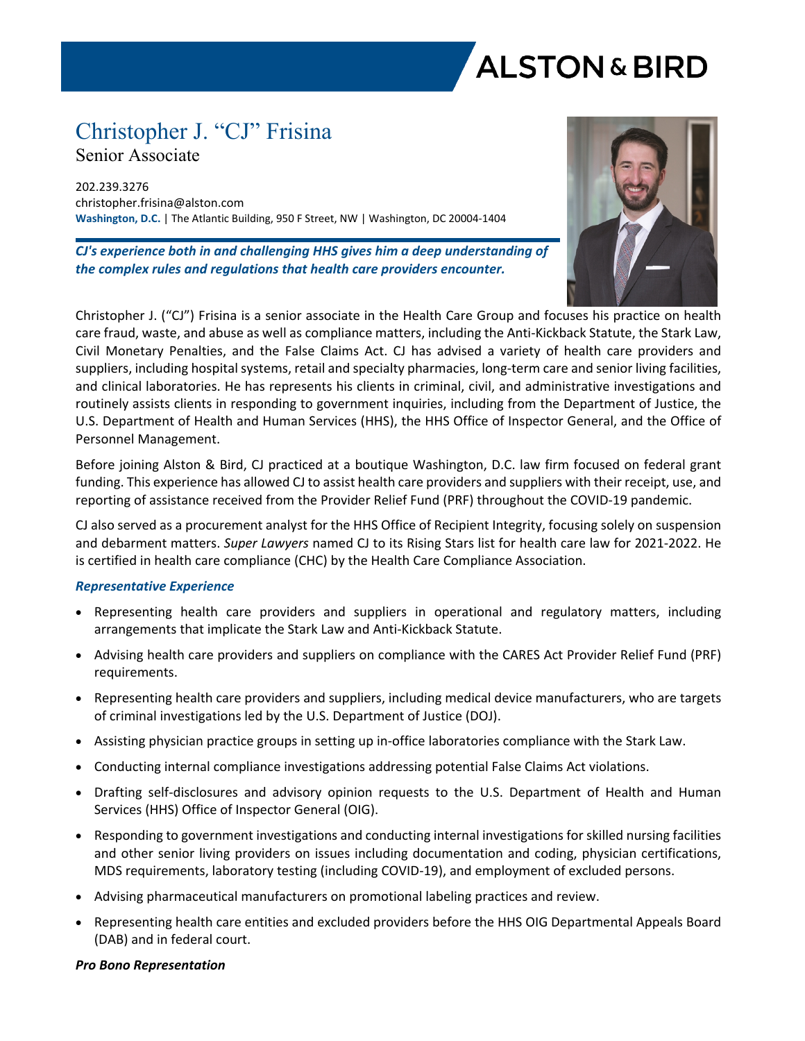# **ALSTON & BIRD**

## Christopher J. "CJ" Frisina

Senior Associate

202.239.3276 christopher.frisina@alston.com **Washington, D.C.** | The Atlantic Building, 950 F Street, NW | Washington, DC 20004-1404

*CJ's experience both in and challenging HHS gives him a deep understanding of the complex rules and regulations that health care providers encounter.*



Christopher J. ("CJ") Frisina is a senior associate in the Health Care Group and focuses his practice on health care fraud, waste, and abuse as well as compliance matters, including the Anti-Kickback Statute, the Stark Law, Civil Monetary Penalties, and the False Claims Act. CJ has advised a variety of health care providers and suppliers, including hospital systems, retail and specialty pharmacies, long-term care and senior living facilities, and clinical laboratories. He has represents his clients in criminal, civil, and administrative investigations and routinely assists clients in responding to government inquiries, including from the Department of Justice, the U.S. Department of Health and Human Services (HHS), the HHS Office of Inspector General, and the Office of Personnel Management.

Before joining Alston & Bird, CJ practiced at a boutique Washington, D.C. law firm focused on federal grant funding. This experience has allowed CJ to assist health care providers and suppliers with their receipt, use, and reporting of assistance received from the Provider Relief Fund (PRF) throughout the COVID-19 pandemic.

CJ also served as a procurement analyst for the HHS Office of Recipient Integrity, focusing solely on suspension and debarment matters. *Super Lawyers* named CJ to its Rising Stars list for health care law for 2021-2022. He is certified in health care compliance (CHC) by the Health Care Compliance Association.

### *Representative Experience*

- Representing health care providers and suppliers in operational and regulatory matters, including arrangements that implicate the Stark Law and Anti-Kickback Statute.
- Advising health care providers and suppliers on compliance with the CARES Act Provider Relief Fund (PRF) requirements.
- Representing health care providers and suppliers, including medical device manufacturers, who are targets of criminal investigations led by the U.S. Department of Justice (DOJ).
- Assisting physician practice groups in setting up in-office laboratories compliance with the Stark Law.
- Conducting internal compliance investigations addressing potential False Claims Act violations.
- Drafting self-disclosures and advisory opinion requests to the U.S. Department of Health and Human Services (HHS) Office of Inspector General (OIG).
- Responding to government investigations and conducting internal investigations for skilled nursing facilities and other senior living providers on issues including documentation and coding, physician certifications, MDS requirements, laboratory testing (including COVID-19), and employment of excluded persons.
- Advising pharmaceutical manufacturers on promotional labeling practices and review.
- Representing health care entities and excluded providers before the HHS OIG Departmental Appeals Board (DAB) and in federal court.

### *Pro Bono Representation*